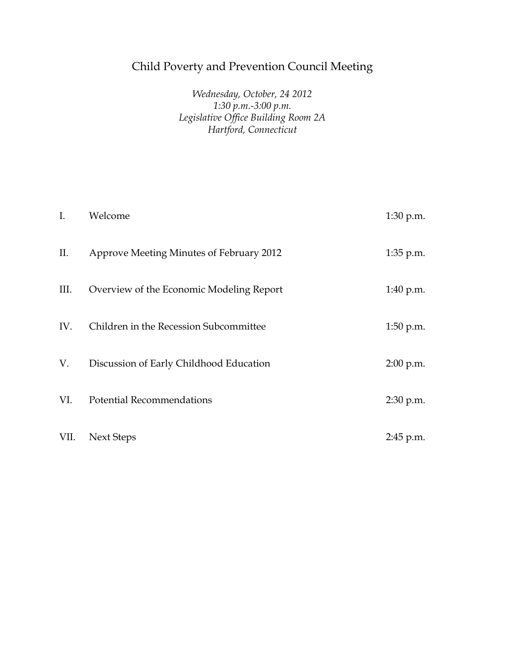## Child Poverty and Prevention Council Meeting

## *Wednesday, October, 24 2012 1:30 p.m.-3:00 p.m. Legislative Office Building Room 2A Hartford, Connecticut*

| $\mathbf{I}$ . | Welcome                                  | $1:30$ p.m. |
|----------------|------------------------------------------|-------------|
| II.            | Approve Meeting Minutes of February 2012 | 1:35 p.m.   |
| III.           | Overview of the Economic Modeling Report | $1:40$ p.m. |
| IV.            | Children in the Recession Subcommittee   | $1:50$ p.m. |
| V.             | Discussion of Early Childhood Education  | $2:00$ p.m. |
| VI.            | <b>Potential Recommendations</b>         | $2:30$ p.m. |
| VII.           | Next Steps                               | 2:45 p.m.   |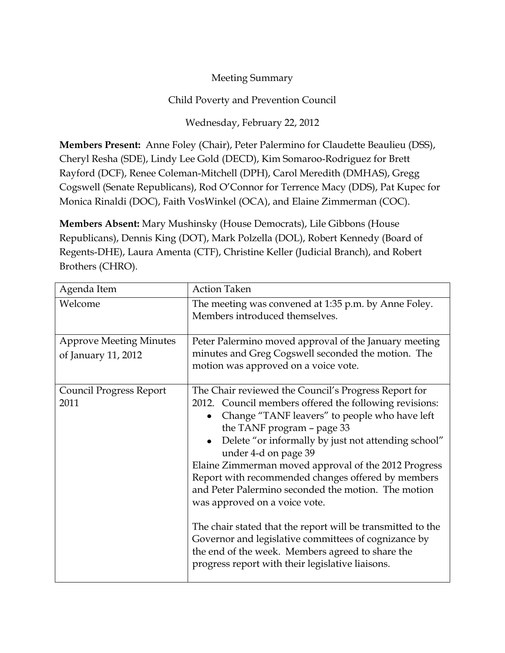## Meeting Summary

## Child Poverty and Prevention Council

Wednesday, February 22, 2012

**Members Present:** Anne Foley (Chair), Peter Palermino for Claudette Beaulieu (DSS), Cheryl Resha (SDE), Lindy Lee Gold (DECD), Kim Somaroo-Rodriguez for Brett Rayford (DCF), Renee Coleman-Mitchell (DPH), Carol Meredith (DMHAS), Gregg Cogswell (Senate Republicans), Rod O'Connor for Terrence Macy (DDS), Pat Kupec for Monica Rinaldi (DOC), Faith VosWinkel (OCA), and Elaine Zimmerman (COC).

**Members Absent:** Mary Mushinsky (House Democrats), Lile Gibbons (House Republicans), Dennis King (DOT), Mark Polzella (DOL), Robert Kennedy (Board of Regents-DHE), Laura Amenta (CTF), Christine Keller (Judicial Branch), and Robert Brothers (CHRO).

| Agenda Item                                           | <b>Action Taken</b>                                                                                                                                                                                                                                                                                                                                                                                                                                                                                                                                                                                                                                                                                                            |
|-------------------------------------------------------|--------------------------------------------------------------------------------------------------------------------------------------------------------------------------------------------------------------------------------------------------------------------------------------------------------------------------------------------------------------------------------------------------------------------------------------------------------------------------------------------------------------------------------------------------------------------------------------------------------------------------------------------------------------------------------------------------------------------------------|
| Welcome                                               | The meeting was convened at 1:35 p.m. by Anne Foley.<br>Members introduced themselves.                                                                                                                                                                                                                                                                                                                                                                                                                                                                                                                                                                                                                                         |
| <b>Approve Meeting Minutes</b><br>of January 11, 2012 | Peter Palermino moved approval of the January meeting<br>minutes and Greg Cogswell seconded the motion. The<br>motion was approved on a voice vote.                                                                                                                                                                                                                                                                                                                                                                                                                                                                                                                                                                            |
| <b>Council Progress Report</b><br>2011                | The Chair reviewed the Council's Progress Report for<br>2012. Council members offered the following revisions:<br>Change "TANF leavers" to people who have left<br>$\bullet$<br>the TANF program - page 33<br>Delete "or informally by just not attending school"<br>under 4-d on page 39<br>Elaine Zimmerman moved approval of the 2012 Progress<br>Report with recommended changes offered by members<br>and Peter Palermino seconded the motion. The motion<br>was approved on a voice vote.<br>The chair stated that the report will be transmitted to the<br>Governor and legislative committees of cognizance by<br>the end of the week. Members agreed to share the<br>progress report with their legislative liaisons. |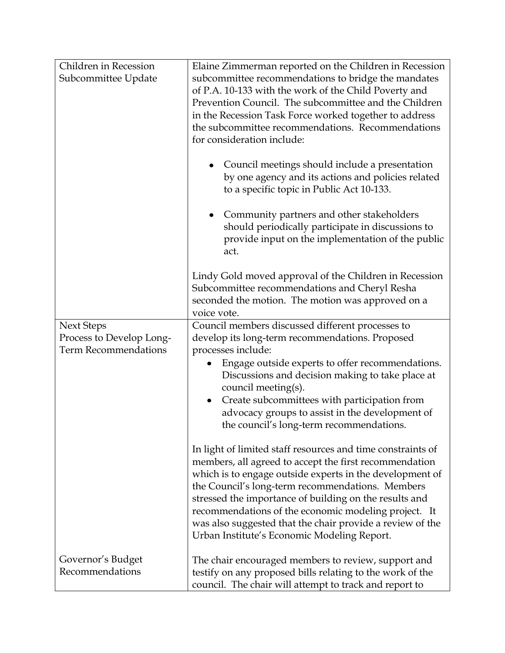| Children in Recession                                                        | Elaine Zimmerman reported on the Children in Recession                                                                                                                                                                                                                                                                                                                                                                                                              |
|------------------------------------------------------------------------------|---------------------------------------------------------------------------------------------------------------------------------------------------------------------------------------------------------------------------------------------------------------------------------------------------------------------------------------------------------------------------------------------------------------------------------------------------------------------|
| Subcommittee Update                                                          | subcommittee recommendations to bridge the mandates<br>of P.A. 10-133 with the work of the Child Poverty and<br>Prevention Council. The subcommittee and the Children<br>in the Recession Task Force worked together to address<br>the subcommittee recommendations. Recommendations<br>for consideration include:                                                                                                                                                  |
|                                                                              | Council meetings should include a presentation<br>$\bullet$<br>by one agency and its actions and policies related<br>to a specific topic in Public Act 10-133.                                                                                                                                                                                                                                                                                                      |
|                                                                              | Community partners and other stakeholders<br>$\bullet$<br>should periodically participate in discussions to<br>provide input on the implementation of the public<br>act.                                                                                                                                                                                                                                                                                            |
|                                                                              | Lindy Gold moved approval of the Children in Recession<br>Subcommittee recommendations and Cheryl Resha<br>seconded the motion. The motion was approved on a<br>voice vote.                                                                                                                                                                                                                                                                                         |
| <b>Next Steps</b><br>Process to Develop Long-<br><b>Term Recommendations</b> | Council members discussed different processes to<br>develop its long-term recommendations. Proposed<br>processes include:                                                                                                                                                                                                                                                                                                                                           |
|                                                                              | Engage outside experts to offer recommendations.<br>Discussions and decision making to take place at<br>council meeting(s).                                                                                                                                                                                                                                                                                                                                         |
|                                                                              | Create subcommittees with participation from<br>advocacy groups to assist in the development of<br>the council's long-term recommendations.                                                                                                                                                                                                                                                                                                                         |
|                                                                              | In light of limited staff resources and time constraints of<br>members, all agreed to accept the first recommendation<br>which is to engage outside experts in the development of<br>the Council's long-term recommendations. Members<br>stressed the importance of building on the results and<br>recommendations of the economic modeling project. It<br>was also suggested that the chair provide a review of the<br>Urban Institute's Economic Modeling Report. |
| Governor's Budget<br>Recommendations                                         | The chair encouraged members to review, support and<br>testify on any proposed bills relating to the work of the<br>council. The chair will attempt to track and report to                                                                                                                                                                                                                                                                                          |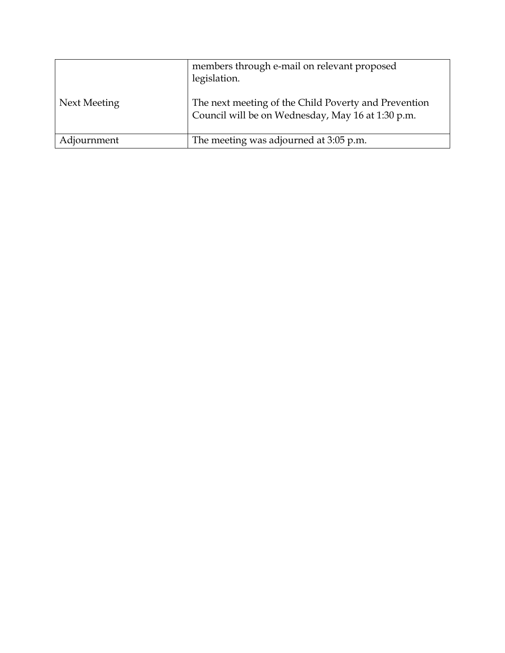|              | members through e-mail on relevant proposed<br>legislation.                                               |
|--------------|-----------------------------------------------------------------------------------------------------------|
| Next Meeting | The next meeting of the Child Poverty and Prevention<br>Council will be on Wednesday, May 16 at 1:30 p.m. |
| Adjournment  | The meeting was adjourned at 3:05 p.m.                                                                    |